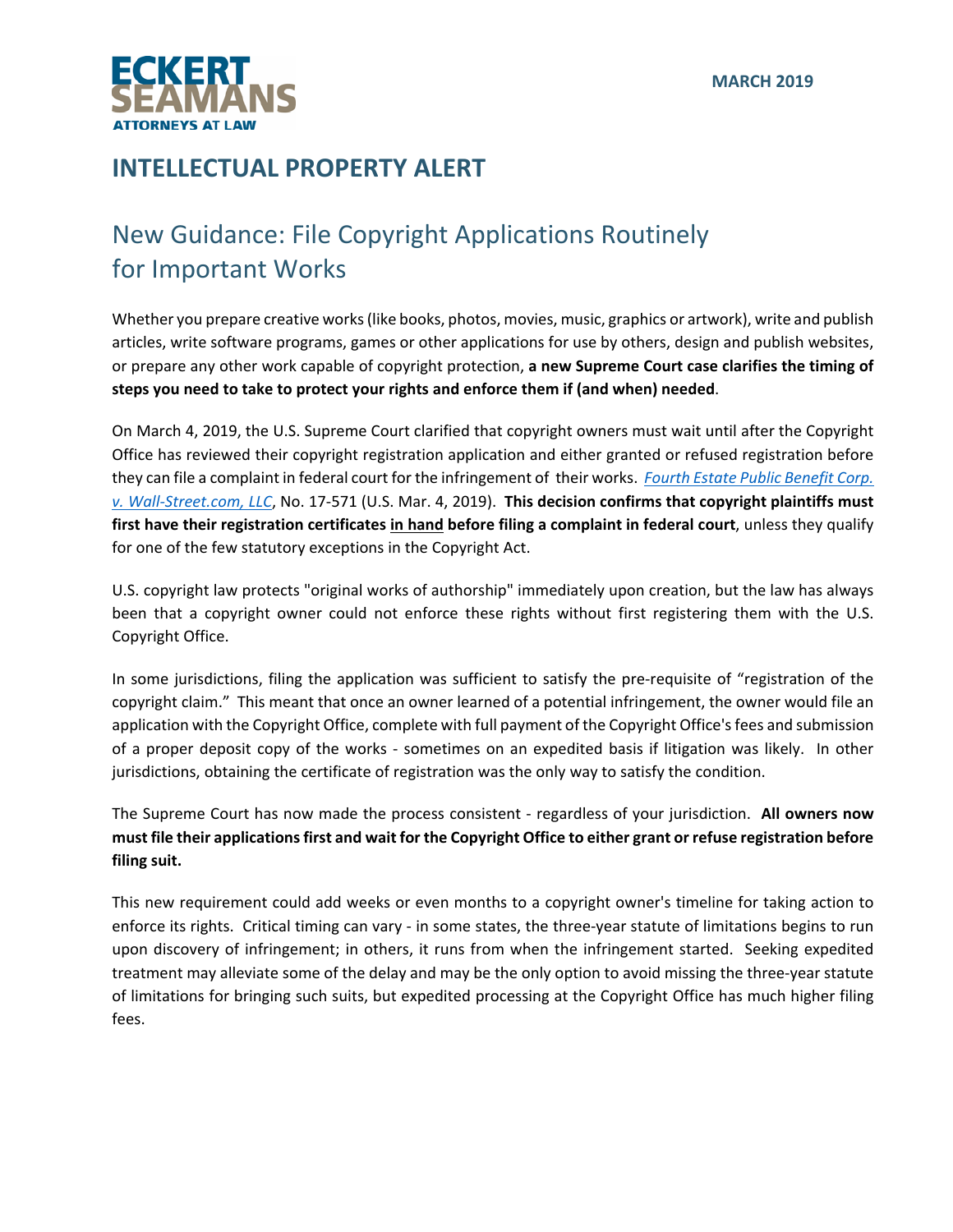

## **INTELLECTUAL PROPERTY ALERT**

## New Guidance: File Copyright Applications Routinely for Important Works

Whether you prepare creative works(like books, photos, movies, music, graphics or artwork), write and publish articles, write software programs, games or other applications for use by others, design and publish websites, or prepare any other work capable of copyright protection, **a new Supreme Court case clarifies the timing of steps you need to take to protect your rights and enforce them if (and when) needed**.

On March 4, 2019, the U.S. Supreme Court clarified that copyright owners must wait until after the Copyright Office has reviewed their copyright registration application and either granted or refused registration before they can file a complaint in federal court for the [infringement](https://www.supremecourt.gov/opinions/18pdf/17-571_e29f.pdf) of their works. *Fourth Estate Public Benefit Corp. v. Wall‐Street.com, LLC*, No. 17‐571 (U.S. Mar. 4, 2019). **This decision confirms that copyright plaintiffs must first have their registration certificates in hand before filing a complaint in federal court**, unless they qualify for one of the few statutory exceptions in the Copyright Act.

U.S. copyright law protects "original works of authorship" immediately upon creation, but the law has always been that a copyright owner could not enforce these rights without first registering them with the U.S. Copyright Office.

In some jurisdictions, filing the application was sufficient to satisfy the pre-requisite of "registration of the copyright claim." This meant that once an owner learned of a potential infringement, the owner would file an application with the Copyright Office, complete with full payment of the Copyright Office's fees and submission of a proper deposit copy of the works ‐ sometimes on an expedited basis if litigation was likely. In other jurisdictions, obtaining the certificate of registration was the only way to satisfy the condition.

The Supreme Court has now made the process consistent ‐ regardless of your jurisdiction. **All owners now** must file their applications first and wait for the Copyright Office to either grant or refuse registration before **filing suit.** 

This new requirement could add weeks or even months to a copyright owner's timeline for taking action to enforce its rights. Critical timing can vary - in some states, the three-year statute of limitations begins to run upon discovery of infringement; in others, it runs from when the infringement started. Seeking expedited treatment may alleviate some of the delay and may be the only option to avoid missing the three‐year statute of limitations for bringing such suits, but expedited processing at the Copyright Office has much higher filing fees.